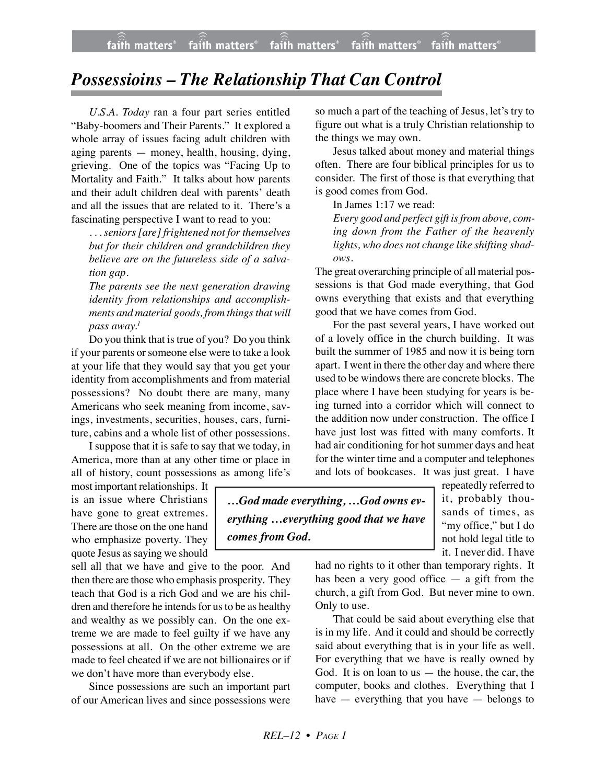## *Possessioins – The Relationship That Can Control*

*U.S.A. Today* ran a four part series entitled "Baby-boomers and Their Parents." It explored a whole array of issues facing adult children with aging parents — money, health, housing, dying, grieving. One of the topics was "Facing Up to Mortality and Faith." It talks about how parents and their adult children deal with parents' death and all the issues that are related to it. There's a fascinating perspective I want to read to you:

*. . . seniors [are] frightened not for themselves but for their children and grandchildren they believe are on the futureless side of a salvation gap.*

*The parents see the next generation drawing identity from relationships and accomplishments and material goods, from things that will pass away.1*

Do you think that is true of you? Do you think if your parents or someone else were to take a look at your life that they would say that you get your identity from accomplishments and from material possessions? No doubt there are many, many Americans who seek meaning from income, savings, investments, securities, houses, cars, furniture, cabins and a whole list of other possessions.

I suppose that it is safe to say that we today, in America, more than at any other time or place in all of history, count possessions as among life's

most important relationships. It is an issue where Christians have gone to great extremes. There are those on the one hand who emphasize poverty. They quote Jesus as saying we should

sell all that we have and give to the poor. And then there are those who emphasis prosperity. They teach that God is a rich God and we are his children and therefore he intends for us to be as healthy and wealthy as we possibly can. On the one extreme we are made to feel guilty if we have any possessions at all. On the other extreme we are made to feel cheated if we are not billionaires or if we don't have more than everybody else.

Since possessions are such an important part of our American lives and since possessions were so much a part of the teaching of Jesus, let's try to figure out what is a truly Christian relationship to the things we may own.

Jesus talked about money and material things often. There are four biblical principles for us to consider. The first of those is that everything that is good comes from God.

In James 1:17 we read:

*Every good and perfect gift is from above, coming down from the Father of the heavenly lights, who does not change like shifting shadows.*

The great overarching principle of all material possessions is that God made everything, that God owns everything that exists and that everything good that we have comes from God.

For the past several years, I have worked out of a lovely office in the church building. It was built the summer of 1985 and now it is being torn apart. I went in there the other day and where there used to be windows there are concrete blocks. The place where I have been studying for years is being turned into a corridor which will connect to the addition now under construction. The office I have just lost was fitted with many comforts. It had air conditioning for hot summer days and heat for the winter time and a computer and telephones and lots of bookcases. It was just great. I have

*…God made everything, …God owns everything …everything good that we have comes from God.*

repeatedly referred to it, probably thousands of times, as "my office," but I do not hold legal title to it. I never did. I have

had no rights to it other than temporary rights. It has been a very good office — a gift from the church, a gift from God. But never mine to own. Only to use.

That could be said about everything else that is in my life. And it could and should be correctly said about everything that is in your life as well. For everything that we have is really owned by God. It is on loan to us  $-$  the house, the car, the computer, books and clothes. Everything that I have — everything that you have — belongs to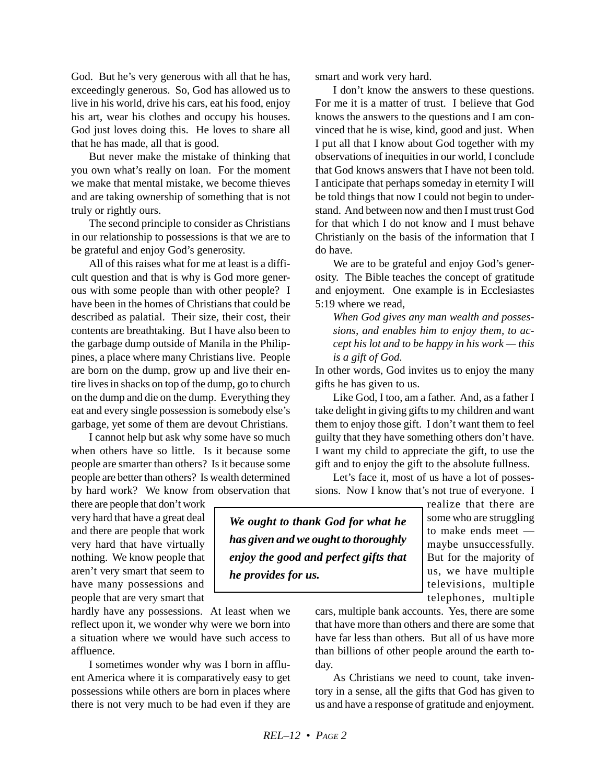God. But he's very generous with all that he has, exceedingly generous. So, God has allowed us to live in his world, drive his cars, eat his food, enjoy his art, wear his clothes and occupy his houses. God just loves doing this. He loves to share all that he has made, all that is good.

But never make the mistake of thinking that you own what's really on loan. For the moment we make that mental mistake, we become thieves and are taking ownership of something that is not truly or rightly ours.

The second principle to consider as Christians in our relationship to possessions is that we are to be grateful and enjoy God's generosity.

All of this raises what for me at least is a difficult question and that is why is God more generous with some people than with other people? I have been in the homes of Christians that could be described as palatial. Their size, their cost, their contents are breathtaking. But I have also been to the garbage dump outside of Manila in the Philippines, a place where many Christians live. People are born on the dump, grow up and live their entire lives in shacks on top of the dump, go to church on the dump and die on the dump. Everything they eat and every single possession is somebody else's garbage, yet some of them are devout Christians.

I cannot help but ask why some have so much when others have so little. Is it because some people are smarter than others? Is it because some people are better than others? Is wealth determined by hard work? We know from observation that

there are people that don't work very hard that have a great deal and there are people that work very hard that have virtually nothing. We know people that aren't very smart that seem to have many possessions and people that are very smart that

hardly have any possessions. At least when we reflect upon it, we wonder why were we born into a situation where we would have such access to affluence.

I sometimes wonder why was I born in affluent America where it is comparatively easy to get possessions while others are born in places where there is not very much to be had even if they are smart and work very hard.

I don't know the answers to these questions. For me it is a matter of trust. I believe that God knows the answers to the questions and I am convinced that he is wise, kind, good and just. When I put all that I know about God together with my observations of inequities in our world, I conclude that God knows answers that I have not been told. I anticipate that perhaps someday in eternity I will be told things that now I could not begin to understand. And between now and then I must trust God for that which I do not know and I must behave Christianly on the basis of the information that I do have.

We are to be grateful and enjoy God's generosity. The Bible teaches the concept of gratitude and enjoyment. One example is in Ecclesiastes 5:19 where we read,

*When God gives any man wealth and possessions, and enables him to enjoy them, to accept his lot and to be happy in his work — this is a gift of God.*

In other words, God invites us to enjoy the many gifts he has given to us.

Like God, I too, am a father. And, as a father I take delight in giving gifts to my children and want them to enjoy those gift. I don't want them to feel guilty that they have something others don't have. I want my child to appreciate the gift, to use the gift and to enjoy the gift to the absolute fullness.

Let's face it, most of us have a lot of possessions. Now I know that's not true of everyone. I

*We ought to thank God for what he has given and we ought to thoroughly enjoy the good and perfect gifts that he provides for us.*

realize that there are some who are struggling to make ends meet maybe unsuccessfully. But for the majority of us, we have multiple televisions, multiple telephones, multiple

cars, multiple bank accounts. Yes, there are some that have more than others and there are some that have far less than others. But all of us have more than billions of other people around the earth today.

As Christians we need to count, take inventory in a sense, all the gifts that God has given to us and have a response of gratitude and enjoyment.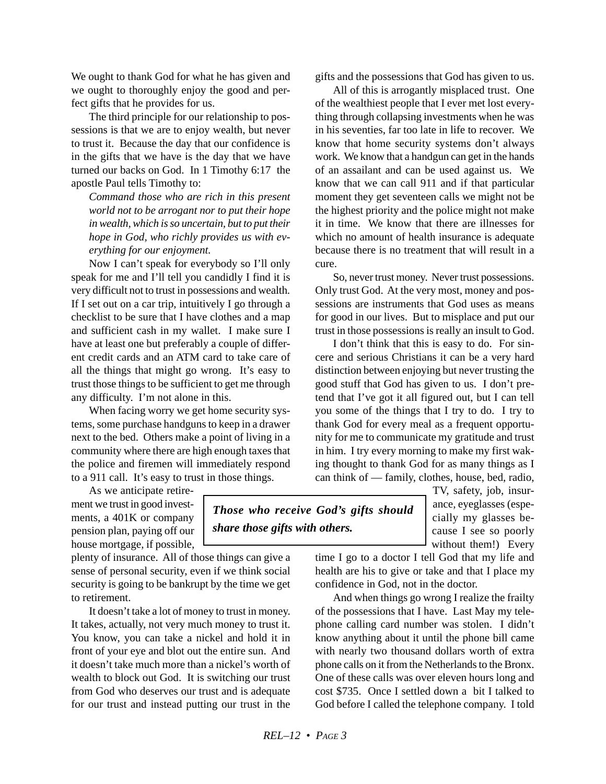We ought to thank God for what he has given and we ought to thoroughly enjoy the good and perfect gifts that he provides for us.

The third principle for our relationship to possessions is that we are to enjoy wealth, but never to trust it. Because the day that our confidence is in the gifts that we have is the day that we have turned our backs on God. In 1 Timothy 6:17 the apostle Paul tells Timothy to:

*Command those who are rich in this present world not to be arrogant nor to put their hope in wealth, which is so uncertain, but to put their hope in God, who richly provides us with everything for our enjoyment.*

Now I can't speak for everybody so I'll only speak for me and I'll tell you candidly I find it is very difficult not to trust in possessions and wealth. If I set out on a car trip, intuitively I go through a checklist to be sure that I have clothes and a map and sufficient cash in my wallet. I make sure I have at least one but preferably a couple of different credit cards and an ATM card to take care of all the things that might go wrong. It's easy to trust those things to be sufficient to get me through any difficulty. I'm not alone in this.

When facing worry we get home security systems, some purchase handguns to keep in a drawer next to the bed. Others make a point of living in a community where there are high enough taxes that the police and firemen will immediately respond to a 911 call. It's easy to trust in those things.

As we anticipate retirement we trust in good investments, a 401K or company pension plan, paying off our house mortgage, if possible,

plenty of insurance. All of those things can give a sense of personal security, even if we think social security is going to be bankrupt by the time we get to retirement.

It doesn't take a lot of money to trust in money. It takes, actually, not very much money to trust it. You know, you can take a nickel and hold it in front of your eye and blot out the entire sun. And it doesn't take much more than a nickel's worth of wealth to block out God. It is switching our trust from God who deserves our trust and is adequate for our trust and instead putting our trust in the gifts and the possessions that God has given to us.

All of this is arrogantly misplaced trust. One of the wealthiest people that I ever met lost everything through collapsing investments when he was in his seventies, far too late in life to recover. We know that home security systems don't always work. We know that a handgun can get in the hands of an assailant and can be used against us. We know that we can call 911 and if that particular moment they get seventeen calls we might not be the highest priority and the police might not make it in time. We know that there are illnesses for which no amount of health insurance is adequate because there is no treatment that will result in a cure.

So, never trust money. Never trust possessions. Only trust God. At the very most, money and possessions are instruments that God uses as means for good in our lives. But to misplace and put our trust in those possessions is really an insult to God.

I don't think that this is easy to do. For sincere and serious Christians it can be a very hard distinction between enjoying but never trusting the good stuff that God has given to us. I don't pretend that I've got it all figured out, but I can tell you some of the things that I try to do. I try to thank God for every meal as a frequent opportunity for me to communicate my gratitude and trust in him. I try every morning to make my first waking thought to thank God for as many things as I can think of — family, clothes, house, bed, radio,

TV, safety, job, insurance, eyeglasses (especially my glasses because I see so poorly without them!) Every

time I go to a doctor I tell God that my life and health are his to give or take and that I place my confidence in God, not in the doctor.

And when things go wrong I realize the frailty of the possessions that I have. Last May my telephone calling card number was stolen. I didn't know anything about it until the phone bill came with nearly two thousand dollars worth of extra phone calls on it from the Netherlands to the Bronx. One of these calls was over eleven hours long and cost \$735. Once I settled down a bit I talked to God before I called the telephone company. I told

*Those who receive God's gifts should*

*share those gifts with others.*